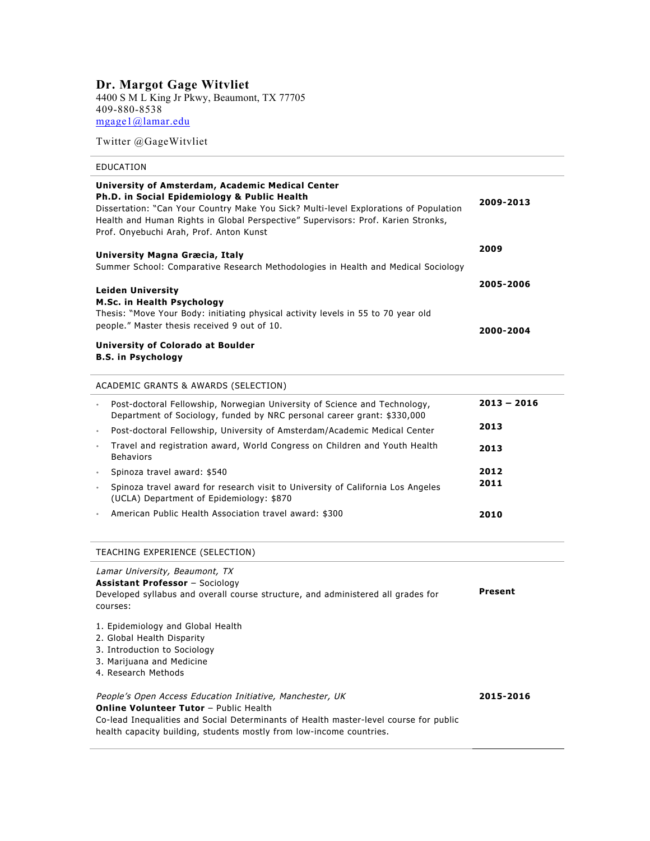# **Dr. Margot Gage Witvliet**

4400 S M L King Jr Pkwy, Beaumont, TX 77705 409-880-8538 mgage1@lamar.edu

Twitter @GageWitvliet

# EDUCATION

| University of Amsterdam, Academic Medical Center<br>Ph.D. in Social Epidemiology & Public Health<br>Dissertation: "Can Your Country Make You Sick? Multi-level Explorations of Population<br>Health and Human Rights in Global Perspective" Supervisors: Prof. Karien Stronks,<br>Prof. Onyebuchi Arah, Prof. Anton Kunst | 2009-2013     |
|---------------------------------------------------------------------------------------------------------------------------------------------------------------------------------------------------------------------------------------------------------------------------------------------------------------------------|---------------|
| University Magna Græcia, Italy<br>Summer School: Comparative Research Methodologies in Health and Medical Sociology                                                                                                                                                                                                       | 2009          |
| <b>Leiden University</b>                                                                                                                                                                                                                                                                                                  | 2005-2006     |
| M.Sc. in Health Psychology<br>Thesis: "Move Your Body: initiating physical activity levels in 55 to 70 year old<br>people." Master thesis received 9 out of 10.                                                                                                                                                           | 2000-2004     |
| <b>University of Colorado at Boulder</b><br><b>B.S. in Psychology</b>                                                                                                                                                                                                                                                     |               |
| ACADEMIC GRANTS & AWARDS (SELECTION)                                                                                                                                                                                                                                                                                      |               |
| Post-doctoral Fellowship, Norwegian University of Science and Technology,<br>Department of Sociology, funded by NRC personal career grant: \$330,000                                                                                                                                                                      | $2013 - 2016$ |
| Post-doctoral Fellowship, University of Amsterdam/Academic Medical Center<br>$\circ$                                                                                                                                                                                                                                      | 2013          |
| Travel and registration award, World Congress on Children and Youth Health<br>$\circ$<br><b>Behaviors</b>                                                                                                                                                                                                                 | 2013          |
| Spinoza travel award: \$540<br>$\circ$                                                                                                                                                                                                                                                                                    | 2012          |
| Spinoza travel award for research visit to University of California Los Angeles<br>$\circ$<br>(UCLA) Department of Epidemiology: \$870                                                                                                                                                                                    | 2011          |
| American Public Health Association travel award: \$300                                                                                                                                                                                                                                                                    | 2010          |
| TEACHING EXPERIENCE (SELECTION)                                                                                                                                                                                                                                                                                           |               |
| Lamar University, Beaumont, TX<br><b>Assistant Professor</b> - Sociology<br>Developed syllabus and overall course structure, and administered all grades for<br>courses:                                                                                                                                                  | Present       |
| 1. Epidemiology and Global Health<br>2. Global Health Disparity<br>3. Introduction to Sociology<br>3. Marijuana and Medicine<br>4. Research Methods                                                                                                                                                                       |               |
| People's Open Access Education Initiative, Manchester, UK                                                                                                                                                                                                                                                                 | 2015-2016     |

**Online Volunteer Tutor** – Public Health

Co-lead Inequalities and Social Determinants of Health master-level course for public health capacity building, students mostly from low-income countries.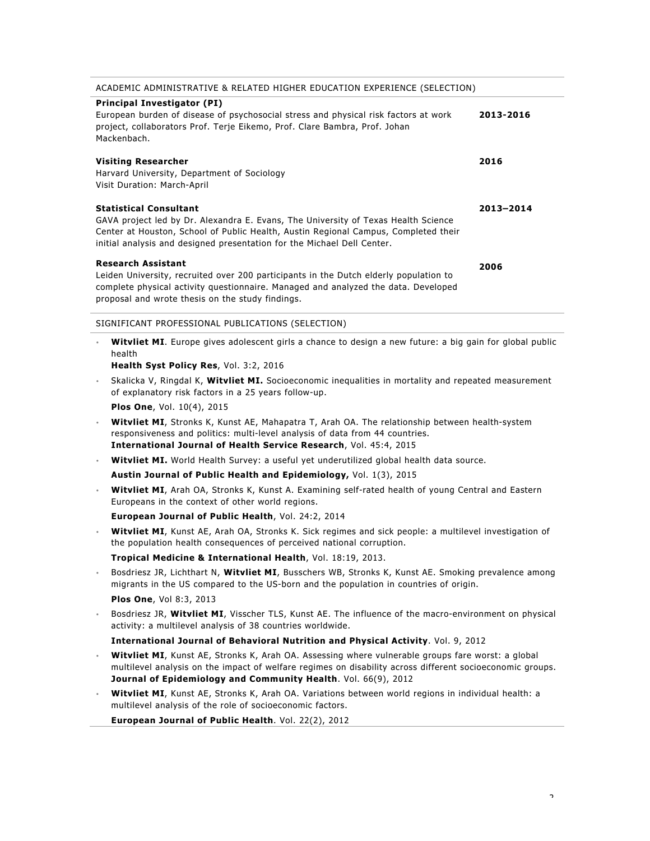| ACADEMIC ADMINISTRATIVE & RELATED HIGHER EDUCATION EXPERIENCE (SELECTION)                                                                                                                                                                                                             |           |
|---------------------------------------------------------------------------------------------------------------------------------------------------------------------------------------------------------------------------------------------------------------------------------------|-----------|
| <b>Principal Investigator (PI)</b><br>European burden of disease of psychosocial stress and physical risk factors at work<br>project, collaborators Prof. Terje Eikemo, Prof. Clare Bambra, Prof. Johan<br>Mackenbach.                                                                | 2013-2016 |
| <b>Visiting Researcher</b><br>Harvard University, Department of Sociology<br>Visit Duration: March-April                                                                                                                                                                              | 2016      |
| <b>Statistical Consultant</b><br>GAVA project led by Dr. Alexandra E. Evans, The University of Texas Health Science<br>Center at Houston, School of Public Health, Austin Regional Campus, Completed their<br>initial analysis and designed presentation for the Michael Dell Center. | 2013-2014 |
| <b>Research Assistant</b><br>Leiden University, recruited over 200 participants in the Dutch elderly population to<br>complete physical activity questionnaire. Managed and analyzed the data. Developed<br>proposal and wrote thesis on the study findings.                          | 2006      |
| SIGNIFICANT PROFESSIONAL PUBLICATIONS (SELECTION)                                                                                                                                                                                                                                     |           |
| where the contract is a contract of the contract of the contract of the contract of the contract of the contract of the contract of the contract of the contract of the contract of the contract of the contract of the contr                                                         | .         |

- **Witvliet MI**. Europe gives adolescent girls a chance to design a new future: a big gain for global public health
	- **Health Syst Policy Res**, Vol. 3:2, 2016
- Skalicka V, Ringdal K, **Witvliet MI.** Socioeconomic inequalities in mortality and repeated measurement of explanatory risk factors in a 25 years follow-up.
	- **Plos One**, Vol. 10(4), 2015
- **Witvliet MI**, Stronks K, Kunst AE, Mahapatra T, Arah OA. The relationship between health-system responsiveness and politics: multi-level analysis of data from 44 countries. **International Journal of Health Service Research**, Vol. 45:4, 2015
- **Witvliet MI.** World Health Survey: a useful yet underutilized global health data source.
	- **Austin Journal of Public Health and Epidemiology,** Vol. 1(3), 2015
- **Witvliet MI**, Arah OA, Stronks K, Kunst A. Examining self-rated health of young Central and Eastern Europeans in the context of other world regions.
	- **European Journal of Public Health**, Vol. 24:2, 2014
- **Witvliet MI**, Kunst AE, Arah OA, Stronks K. Sick regimes and sick people: a multilevel investigation of the population health consequences of perceived national corruption.
	- **Tropical Medicine & International Health**, Vol. 18:19, 2013.
- Bosdriesz JR, Lichthart N, **Witvliet MI**, Busschers WB, Stronks K, Kunst AE. Smoking prevalence among migrants in the US compared to the US-born and the population in countries of origin. **Plos One**, Vol 8:3, 2013
- Bosdriesz JR, **Witvliet MI**, Visscher TLS, Kunst AE. The influence of the macro-environment on physical activity: a multilevel analysis of 38 countries worldwide.

#### **International Journal of Behavioral Nutrition and Physical Activity**. Vol. 9, 2012

- **Witvliet MI**, Kunst AE, Stronks K, Arah OA. Assessing where vulnerable groups fare worst: a global multilevel analysis on the impact of welfare regimes on disability across different socioeconomic groups. **Journal of Epidemiology and Community Health**. Vol. 66(9), 2012
- **Witvliet MI**, Kunst AE, Stronks K, Arah OA. Variations between world regions in individual health: a multilevel analysis of the role of socioeconomic factors.

**European Journal of Public Health**. Vol. 22(2), 2012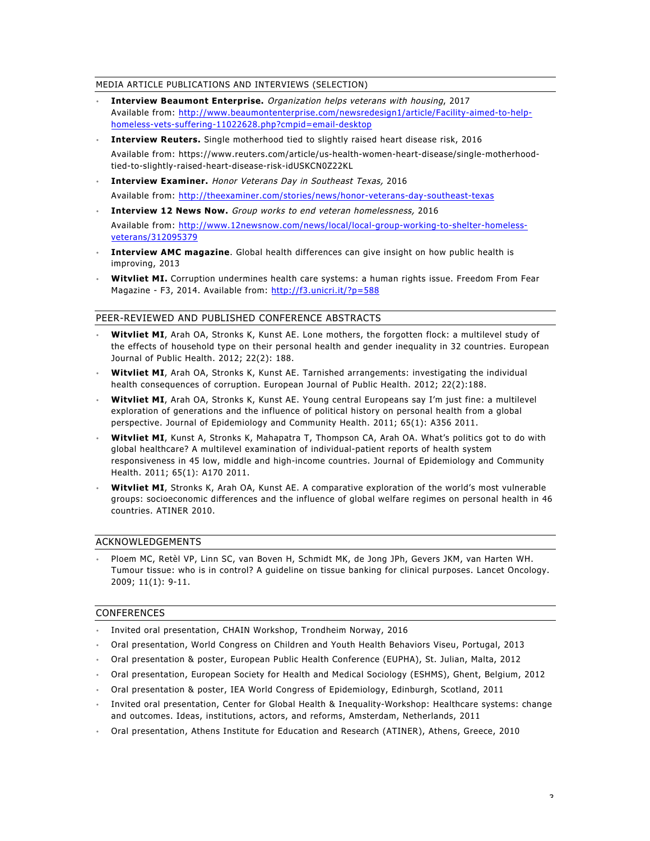#### MEDIA ARTICLE PUBLICATIONS AND INTERVIEWS (SELECTION)

- **Interview Beaumont Enterprise.** Organization helps veterans with housing, 2017 Available from: http://www.beaumontenterprise.com/newsredesign1/article/Facility-aimed-to-helphomeless-vets-suffering-11022628.php?cmpid=email-desktop
- **Interview Reuters.** Single motherhood tied to slightly raised heart disease risk, 2016

Available from: https://www.reuters.com/article/us-health-women-heart-disease/single-motherhoodtied-to-slightly-raised-heart-disease-risk-idUSKCN0Z22KL

• **Interview Examiner.** Honor Veterans Day in Southeast Texas, 2016

Available from: http://theexaminer.com/stories/news/honor-veterans-day-southeast-texas

• **Interview 12 News Now.** Group works to end veteran homelessness, 2016

Available from: http://www.12newsnow.com/news/local/local-group-working-to-shelter-homelessveterans/312095379

- **Interview AMC magazine**. Global health differences can give insight on how public health is improving, 2013
- **Witvliet MI.** Corruption undermines health care systems: a human rights issue. Freedom From Fear Magazine - F3, 2014. Available from: http://f3.unicri.it/?p=588

## PEER-REVIEWED AND PUBLISHED CONFERENCE ABSTRACTS

- **Witvliet MI**, Arah OA, Stronks K, Kunst AE. Lone mothers, the forgotten flock: a multilevel study of the effects of household type on their personal health and gender inequality in 32 countries. European Journal of Public Health. 2012; 22(2): 188.
- **Witvliet MI**, Arah OA, Stronks K, Kunst AE. Tarnished arrangements: investigating the individual health consequences of corruption. European Journal of Public Health. 2012; 22(2):188.
- **Witvliet MI**, Arah OA, Stronks K, Kunst AE. Young central Europeans say I'm just fine: a multilevel exploration of generations and the influence of political history on personal health from a global perspective. Journal of Epidemiology and Community Health. 2011; 65(1): A356 2011.
- **Witvliet MI**, Kunst A, Stronks K, Mahapatra T, Thompson CA, Arah OA. What's politics got to do with global healthcare? A multilevel examination of individual-patient reports of health system responsiveness in 45 low, middle and high-income countries. Journal of Epidemiology and Community Health. 2011; 65(1): A170 2011.
- **Witvliet MI**, Stronks K, Arah OA, Kunst AE. A comparative exploration of the world's most vulnerable groups: socioeconomic differences and the influence of global welfare regimes on personal health in 46 countries. ATINER 2010.

## ACKNOWLEDGEMENTS

• Ploem MC, Retèl VP, Linn SC, van Boven H, Schmidt MK, de Jong JPh, Gevers JKM, van Harten WH. Tumour tissue: who is in control? A guideline on tissue banking for clinical purposes. Lancet Oncology. 2009; 11(1): 9-11.

#### CONFERENCES

- Invited oral presentation, CHAIN Workshop, Trondheim Norway, 2016
- Oral presentation, World Congress on Children and Youth Health Behaviors Viseu, Portugal, 2013
- Oral presentation & poster, European Public Health Conference (EUPHA), St. Julian, Malta, 2012
- Oral presentation, European Society for Health and Medical Sociology (ESHMS), Ghent, Belgium, 2012
- Oral presentation & poster, IEA World Congress of Epidemiology, Edinburgh, Scotland, 2011
- Invited oral presentation, Center for Global Health & Inequality-Workshop: Healthcare systems: change and outcomes. Ideas, institutions, actors, and reforms, Amsterdam, Netherlands, 2011
- Oral presentation, Athens Institute for Education and Research (ATINER), Athens, Greece, 2010